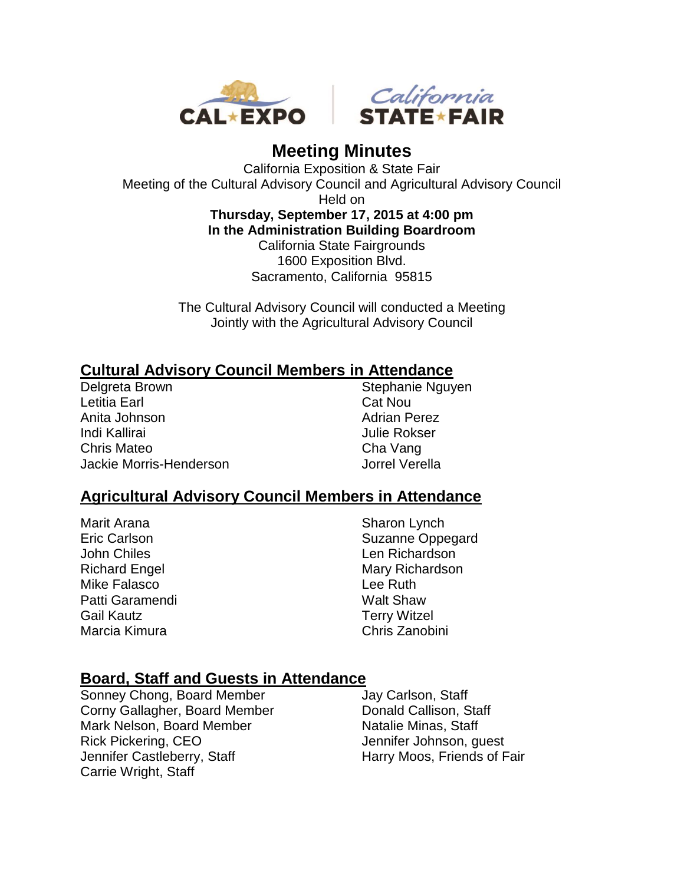



# **Meeting Minutes**

California Exposition & State Fair Meeting of the Cultural Advisory Council and Agricultural Advisory Council Held on

> **Thursday, September 17, 2015 at 4:00 pm In the Administration Building Boardroom** California State Fairgrounds 1600 Exposition Blvd. Sacramento, California 95815

The Cultural Advisory Council will conducted a Meeting Jointly with the Agricultural Advisory Council

# **Cultural Advisory Council Members in Attendance**

Delgreta Brown Letitia Earl Anita Johnson Indi Kallirai Chris Mateo Jackie Morris-Henderson

Stephanie Nguyen Cat Nou Adrian Perez Julie Rokser Cha Vang Jorrel Verella

## **Agricultural Advisory Council Members in Attendance**

Marit Arana Eric Carlson John Chiles Richard Engel Mike Falasco Patti Garamendi Gail Kautz Marcia Kimura

Sharon Lynch Suzanne Oppegard Len Richardson Mary Richardson Lee Ruth Walt Shaw Terry Witzel Chris Zanobini

## **Board, Staff and Guests in Attendance**

Sonney Chong, Board Member Corny Gallagher, Board Member Mark Nelson, Board Member Rick Pickering, CEO Jennifer Castleberry, Staff Carrie Wright, Staff

Jay Carlson, Staff Donald Callison, Staff Natalie Minas, Staff Jennifer Johnson, guest Harry Moos, Friends of Fair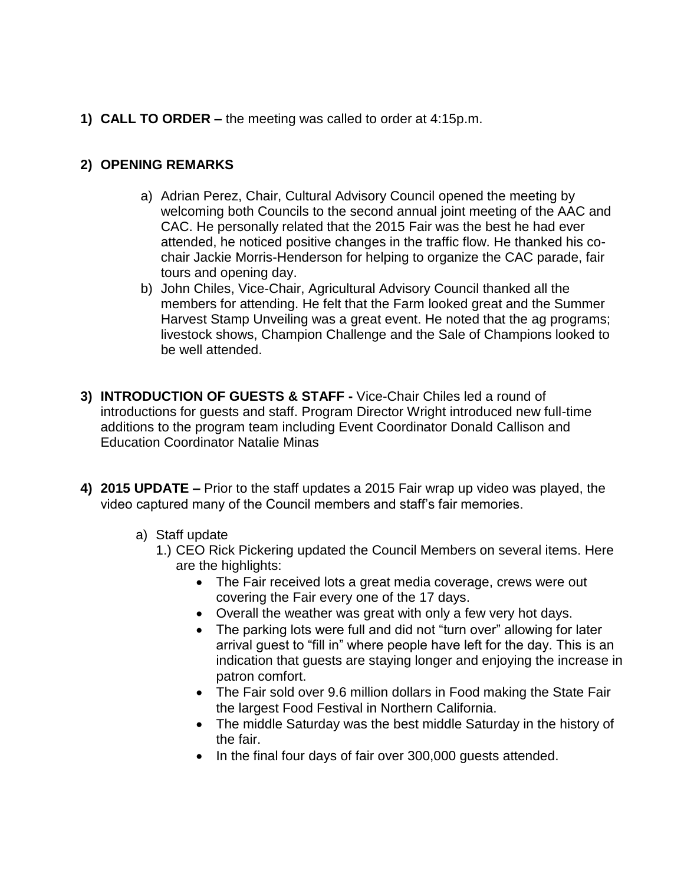**1) CALL TO ORDER –** the meeting was called to order at 4:15p.m.

#### **2) OPENING REMARKS**

- a) Adrian Perez, Chair, Cultural Advisory Council opened the meeting by welcoming both Councils to the second annual joint meeting of the AAC and CAC. He personally related that the 2015 Fair was the best he had ever attended, he noticed positive changes in the traffic flow. He thanked his cochair Jackie Morris-Henderson for helping to organize the CAC parade, fair tours and opening day.
- b) John Chiles, Vice-Chair, Agricultural Advisory Council thanked all the members for attending. He felt that the Farm looked great and the Summer Harvest Stamp Unveiling was a great event. He noted that the ag programs; livestock shows, Champion Challenge and the Sale of Champions looked to be well attended.
- **3) INTRODUCTION OF GUESTS & STAFF -** Vice-Chair Chiles led a round of introductions for guests and staff. Program Director Wright introduced new full-time additions to the program team including Event Coordinator Donald Callison and Education Coordinator Natalie Minas
- **4) 2015 UPDATE –** Prior to the staff updates a 2015 Fair wrap up video was played, the video captured many of the Council members and staff's fair memories.
	- a) Staff update
		- 1.) CEO Rick Pickering updated the Council Members on several items. Here are the highlights:
			- The Fair received lots a great media coverage, crews were out covering the Fair every one of the 17 days.
			- Overall the weather was great with only a few very hot days.
			- The parking lots were full and did not "turn over" allowing for later arrival guest to "fill in" where people have left for the day. This is an indication that guests are staying longer and enjoying the increase in patron comfort.
			- The Fair sold over 9.6 million dollars in Food making the State Fair the largest Food Festival in Northern California.
			- The middle Saturday was the best middle Saturday in the history of the fair.
			- In the final four days of fair over 300,000 quests attended.